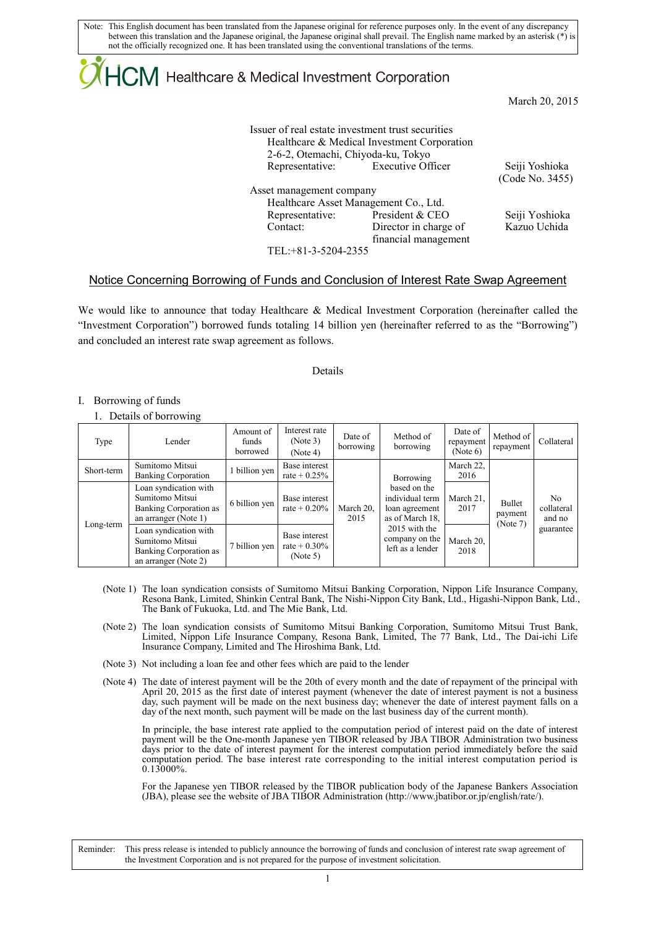Note: This English document has been translated from the Japanese original for reference purposes only. In the event of any discrepancy between this translation and the Japanese original, the Japanese original shall prevail. The English name marked by an asterisk (\*) is not the officially recognized one. It has been translated using the conventional translations of the terms.

# ICM Healthcare & Medical Investment Corporation

March 20, 2015

| Issuer of real estate investment trust securities<br>Healthcare & Medical Investment Corporation |                                    |
|--------------------------------------------------------------------------------------------------|------------------------------------|
| Representative: Executive Officer                                                                | Seiji Yoshioka                     |
|                                                                                                  | (Code No. 3455)                    |
| Asset management company                                                                         |                                    |
| Healthcare Asset Management Co., Ltd.                                                            |                                    |
| President & CEO                                                                                  | Seiji Yoshioka                     |
| Director in charge of                                                                            | Kazuo Uchida                       |
| financial management                                                                             |                                    |
| TEL: +81-3-5204-2355                                                                             |                                    |
|                                                                                                  | 2-6-2, Otemachi, Chiyoda-ku, Tokyo |

### Notice Concerning Borrowing of Funds and Conclusion of Interest Rate Swap Agreement

We would like to announce that today Healthcare & Medical Investment Corporation (hereinafter called the "Investment Corporation") borrowed funds totaling 14 billion yen (hereinafter referred to as the "Borrowing") and concluded an interest rate swap agreement as follows.

### Details

### I. Borrowing of funds

### 1. Details of borrowing

| Type       | Lender                                                                                     | Amount of<br>funds.<br>borrowed | Interest rate<br>(Note 3)<br>(Note 4)        | Date of<br>borrowing | Method of<br>borrowing                                               | Date of<br>repayment<br>(Note 6) | Method of<br>repayment                              | Collateral                             |  |
|------------|--------------------------------------------------------------------------------------------|---------------------------------|----------------------------------------------|----------------------|----------------------------------------------------------------------|----------------------------------|-----------------------------------------------------|----------------------------------------|--|
| Short-term | Sumitomo Mitsui<br><b>Banking Corporation</b>                                              | billion yen                     | Base interest<br>rate + $0.25%$              | March 20,<br>2015    |                                                                      | Borrowing                        | March 22.<br>2016                                   |                                        |  |
| Long-term  | Loan syndication with<br>Sumitomo Mitsui<br>Banking Corporation as<br>an arranger (Note 1) | 6 billion yen                   | Base interest<br>rate + $0.20\%$             |                      | based on the<br>individual term<br>loan agreement<br>as of March 18. | March 21,<br>2017                | Bullet<br>payment<br>(Note 7)                       | N <sub>0</sub><br>collateral<br>and no |  |
|            | Loan syndication with<br>Sumitomo Mitsui<br>Banking Corporation as<br>an arranger (Note 2) | 7 billion yen                   | Base interest<br>rate + $0.30\%$<br>(Note 5) |                      |                                                                      |                                  | 2015 with the<br>company on the<br>left as a lender | March 20,<br>2018                      |  |

- (Note 1) The loan syndication consists of Sumitomo Mitsui Banking Corporation, Nippon Life Insurance Company, Resona Bank, Limited, Shinkin Central Bank, The Nishi-Nippon City Bank, Ltd., Higashi-Nippon Bank, Ltd., The Bank of Fukuoka, Ltd. and The Mie Bank, Ltd.
- (Note 2) The loan syndication consists of Sumitomo Mitsui Banking Corporation, Sumitomo Mitsui Trust Bank, Limited, Nippon Life Insurance Company, Resona Bank, Limited, The 77 Bank, Ltd., The Dai-ichi Life Insurance Company, Limited and The Hiroshima Bank, Ltd.
- (Note 3) Not including a loan fee and other fees which are paid to the lender
- (Note 4) The date of interest payment will be the 20th of every month and the date of repayment of the principal with April 20, 2015 as the first date of interest payment (whenever the date of interest payment is not a business day, such payment will be made on the next business day; whenever the date of interest payment falls on a day of the next month, such payment will be made on the last business day of the current month).

In principle, the base interest rate applied to the computation period of interest paid on the date of interest payment will be the One-month Japanese yen TIBOR released by JBA TIBOR Administration two business days prior to the date of interest payment for the interest computation period immediately before the said computation period. The base interest rate corresponding to the initial interest computation period is 0.13000%.

For the Japanese yen TIBOR released by the TIBOR publication body of the Japanese Bankers Association (JBA), please see the website of JBA TIBOR Administration (http://www.jbatibor.or.jp/english/rate/).

Reminder: This press release is intended to publicly announce the borrowing of funds and conclusion of interest rate swap agreement of the Investment Corporation and is not prepared for the purpose of investment solicitation.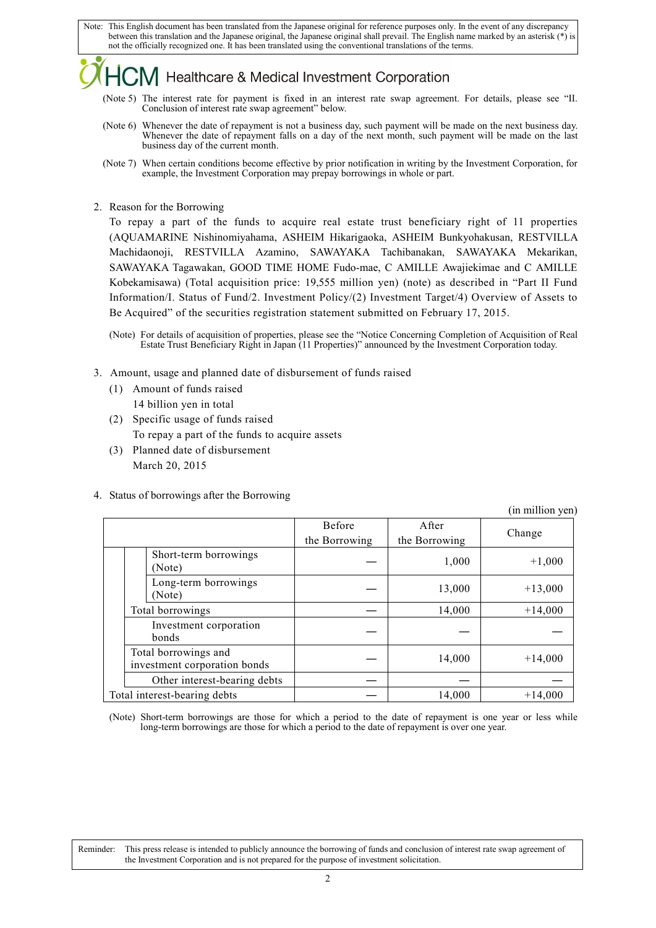Note: This English document has been translated from the Japanese original for reference purposes only. In the event of any discrepancy between this translation and the Japanese original, the Japanese original shall prevail. The English name marked by an asterisk (\*) is not the officially recognized one. It has been translated using the conventional translations of the terms.

### V Healthcare & Medical Investment Corporation

- (Note 5) The interest rate for payment is fixed in an interest rate swap agreement. For details, please see "II. Conclusion of interest rate swap agreement" below.
- (Note 6) Whenever the date of repayment is not a business day, such payment will be made on the next business day. Whenever the date of repayment falls on a day of the next month, such payment will be made on the last business day of the current month.
- (Note 7) When certain conditions become effective by prior notification in writing by the Investment Corporation, for example, the Investment Corporation may prepay borrowings in whole or part.
- 2. Reason for the Borrowing

To repay a part of the funds to acquire real estate trust beneficiary right of 11 properties (AQUAMARINE Nishinomiyahama, ASHEIM Hikarigaoka, ASHEIM Bunkyohakusan, RESTVILLA Machidaonoji, RESTVILLA Azamino, SAWAYAKA Tachibanakan, SAWAYAKA Mekarikan, SAWAYAKA Tagawakan, GOOD TIME HOME Fudo-mae, C AMILLE Awajiekimae and C AMILLE Kobekamisawa) (Total acquisition price: 19,555 million yen) (note) as described in "Part II Fund Information/I. Status of Fund/2. Investment Policy/(2) Investment Target/4) Overview of Assets to Be Acquired" of the securities registration statement submitted on February 17, 2015.

- 3. Amount, usage and planned date of disbursement of funds raised
	- (1) Amount of funds raised 14 billion yen in total
	- (2) Specific usage of funds raised To repay a part of the funds to acquire assets
	- (3) Planned date of disbursement March 20, 2015
- 4. Status of borrowings after the Borrowing

|                              |                                                      |                                |                        | (in million yen) |
|------------------------------|------------------------------------------------------|--------------------------------|------------------------|------------------|
|                              |                                                      | <b>Before</b><br>the Borrowing | After<br>the Borrowing | Change           |
|                              | Short-term borrowings<br>(Note)                      |                                | 1,000                  | $+1,000$         |
|                              | Long-term borrowings<br>(Note)                       |                                | 13,000                 | $+13,000$        |
|                              | Total borrowings                                     |                                | 14,000                 | $+14,000$        |
|                              | Investment corporation<br>bonds                      |                                |                        |                  |
|                              | Total borrowings and<br>investment corporation bonds |                                | 14,000                 | $+14,000$        |
|                              | Other interest-bearing debts                         |                                |                        |                  |
| Total interest-bearing debts |                                                      |                                | 14,000                 | $+14,000$        |

(Note) Short-term borrowings are those for which a period to the date of repayment is one year or less while long-term borrowings are those for which a period to the date of repayment is over one year.

Reminder: This press release is intended to publicly announce the borrowing of funds and conclusion of interest rate swap agreement of the Investment Corporation and is not prepared for the purpose of investment solicitation.

<sup>(</sup>Note) For details of acquisition of properties, please see the "Notice Concerning Completion of Acquisition of Real Estate Trust Beneficiary Right in Japan (11 Properties)" announced by the Investment Corporation today.